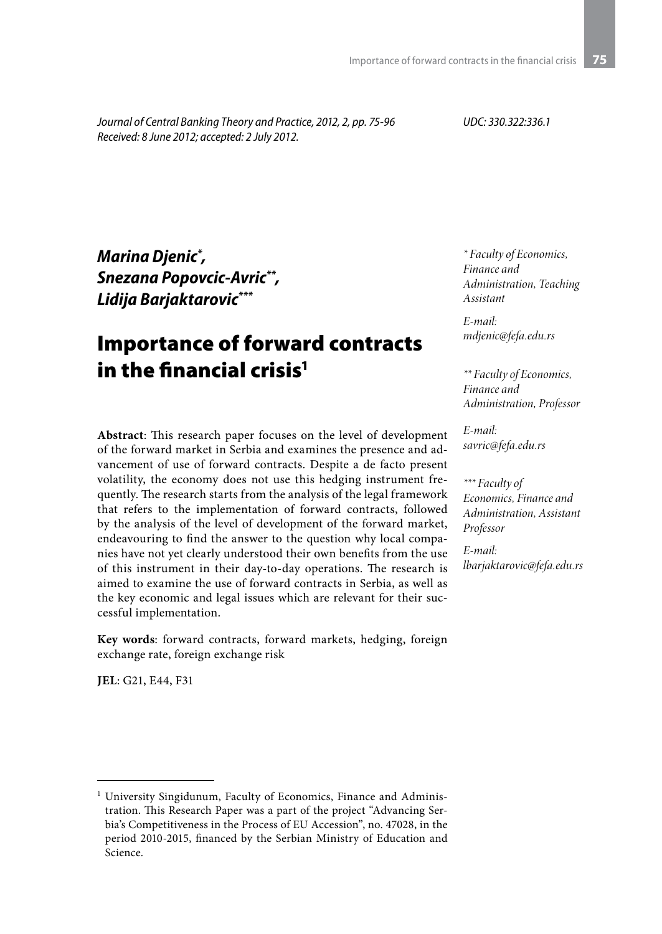*Journal of Central Banking Theory and Practice, 2012, 2, pp. 75-96 Received: 8 June 2012; accepted: 2 July 2012.*

*UDC: 330.322:336.1*

*Marina Djenic\* , Snezana Popovcic-Avric\*\*, Lidija Barjaktarovic\*\*\**

# Importance of forward contracts in the financial crisis $1$

**Abstract**: This research paper focuses on the level of development of the forward market in Serbia and examines the presence and advancement of use of forward contracts. Despite a de facto present volatility, the economy does not use this hedging instrument frequently. The research starts from the analysis of the legal framework that refers to the implementation of forward contracts, followed by the analysis of the level of development of the forward market, endeavouring to find the answer to the question why local companies have not yet clearly understood their own benefits from the use of this instrument in their day-to-day operations. The research is aimed to examine the use of forward contracts in Serbia, as well as the key economic and legal issues which are relevant for their successful implementation.

**Key words**: forward contracts, forward markets, hedging, foreign exchange rate, foreign exchange risk

**JEL**: G21, E44, F31

*\* Faculty of Economics, Finance and Administration, Teaching Assistant*

*E-mail: mdjenic@fefa.edu.rs*

*\*\* Faculty of Economics, Finance and Administration, Professor*

*E-mail: savric@fefa.edu.rs*

*\*\*\* Faculty of Economics, Finance and Administration, Assistant Professor* 

*E-mail: lbarjaktarovic@fefa.edu.rs*

<sup>1</sup> University Singidunum, Faculty of Economics, Finance and Administration. This Research Paper was a part of the project "Advancing Serbia's Competitiveness in the Process of EU Accession", no. 47028, in the period 2010-2015, financed by the Serbian Ministry of Education and Science.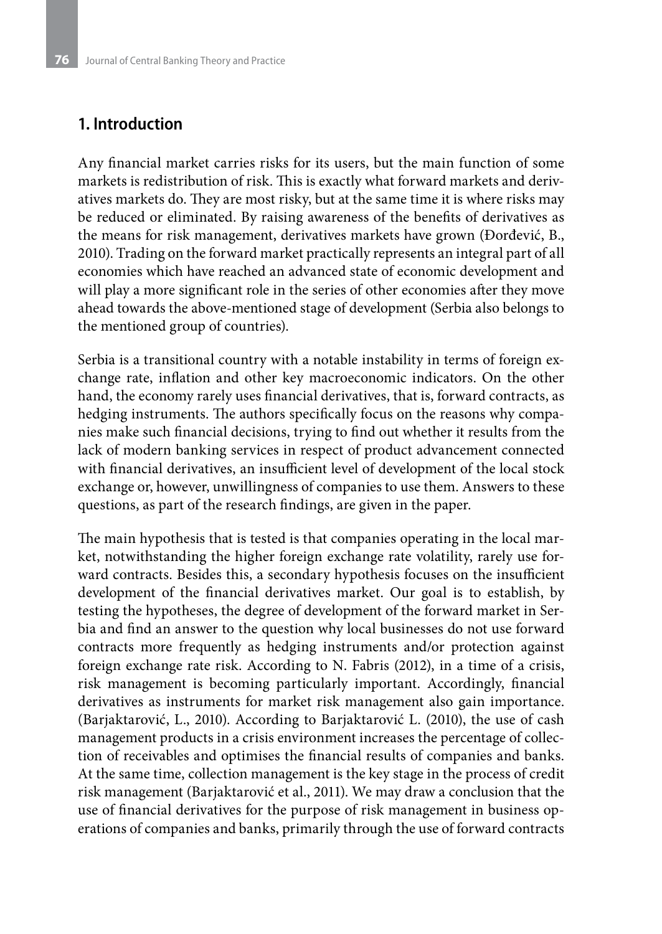### **1. Introduction**

Any financial market carries risks for its users, but the main function of some markets is redistribution of risk. This is exactly what forward markets and derivatives markets do. They are most risky, but at the same time it is where risks may be reduced or eliminated. By raising awareness of the benefits of derivatives as the means for risk management, derivatives markets have grown (Đorđević, B., 2010). Trading on the forward market practically represents an integral part of all economies which have reached an advanced state of economic development and will play a more significant role in the series of other economies after they move ahead towards the above-mentioned stage of development (Serbia also belongs to the mentioned group of countries).

Serbia is a transitional country with a notable instability in terms of foreign exchange rate, inflation and other key macroeconomic indicators. On the other hand, the economy rarely uses financial derivatives, that is, forward contracts, as hedging instruments. The authors specifically focus on the reasons why companies make such financial decisions, trying to find out whether it results from the lack of modern banking services in respect of product advancement connected with financial derivatives, an insufficient level of development of the local stock exchange or, however, unwillingness of companies to use them. Answers to these questions, as part of the research findings, are given in the paper.

The main hypothesis that is tested is that companies operating in the local market, notwithstanding the higher foreign exchange rate volatility, rarely use forward contracts. Besides this, a secondary hypothesis focuses on the insufficient development of the financial derivatives market. Our goal is to establish, by testing the hypotheses, the degree of development of the forward market in Serbia and find an answer to the question why local businesses do not use forward contracts more frequently as hedging instruments and/or protection against foreign exchange rate risk. According to N. Fabris (2012), in a time of a crisis, risk management is becoming particularly important. Accordingly, financial derivatives as instruments for market risk management also gain importance. (Barjaktarović, L., 2010). According to Barjaktarović L. (2010), the use of cash management products in a crisis environment increases the percentage of collection of receivables and optimises the financial results of companies and banks. At the same time, collection management is the key stage in the process of credit risk management (Barjaktarović et al., 2011). We may draw a conclusion that the use of financial derivatives for the purpose of risk management in business operations of companies and banks, primarily through the use of forward contracts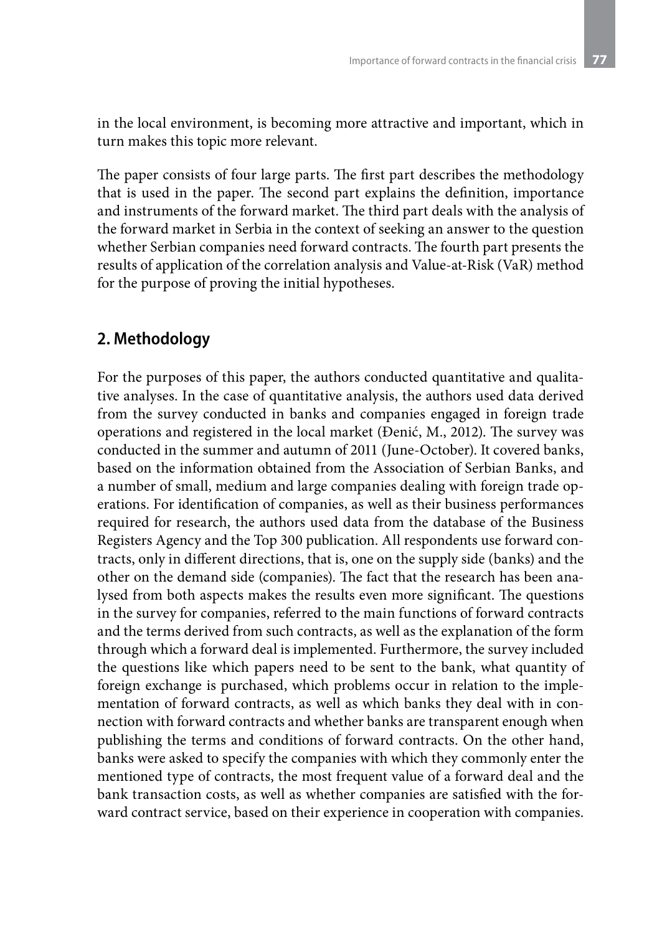in the local environment, is becoming more attractive and important, which in turn makes this topic more relevant.

The paper consists of four large parts. The first part describes the methodology that is used in the paper. The second part explains the definition, importance and instruments of the forward market. The third part deals with the analysis of the forward market in Serbia in the context of seeking an answer to the question whether Serbian companies need forward contracts. The fourth part presents the results of application of the correlation analysis and Value-at-Risk (VaR) method for the purpose of proving the initial hypotheses.

### **2. Methodology**

For the purposes of this paper, the authors conducted quantitative and qualitative analyses. In the case of quantitative analysis, the authors used data derived from the survey conducted in banks and companies engaged in foreign trade operations and registered in the local market (Đenić, M., 2012). The survey was conducted in the summer and autumn of 2011 (June-October). It covered banks, based on the information obtained from the Association of Serbian Banks, and a number of small, medium and large companies dealing with foreign trade operations. For identification of companies, as well as their business performances required for research, the authors used data from the database of the Business Registers Agency and the Top 300 publication. All respondents use forward contracts, only in different directions, that is, one on the supply side (banks) and the other on the demand side (companies). The fact that the research has been analysed from both aspects makes the results even more significant. The questions in the survey for companies, referred to the main functions of forward contracts and the terms derived from such contracts, as well as the explanation of the form through which a forward deal is implemented. Furthermore, the survey included the questions like which papers need to be sent to the bank, what quantity of foreign exchange is purchased, which problems occur in relation to the implementation of forward contracts, as well as which banks they deal with in connection with forward contracts and whether banks are transparent enough when publishing the terms and conditions of forward contracts. On the other hand, banks were asked to specify the companies with which they commonly enter the mentioned type of contracts, the most frequent value of a forward deal and the bank transaction costs, as well as whether companies are satisfied with the forward contract service, based on their experience in cooperation with companies.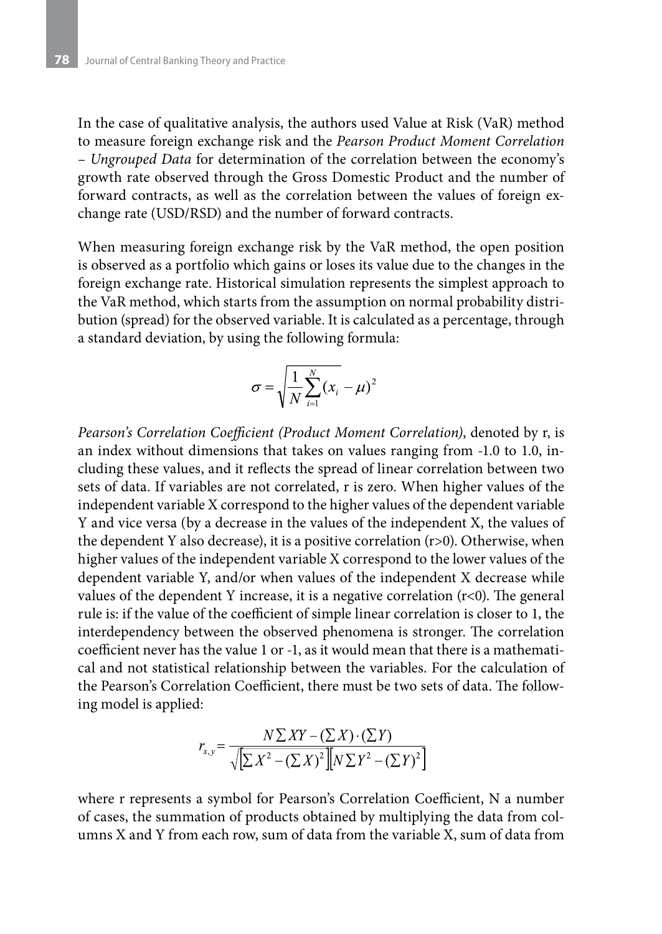In the case of qualitative analysis, the authors used Value at Risk (VaR) method to measure foreign exchange risk and the *Pearson Product Moment Correlation – Ungrouped Data* for determination of the correlation between the economy's growth rate observed through the Gross Domestic Product and the number of forward contracts, as well as the correlation between the values of foreign exchange rate (USD/RSD) and the number of forward contracts.

When measuring foreign exchange risk by the VaR method, the open position is observed as a portfolio which gains or loses its value due to the changes in the foreign exchange rate. Historical simulation represents the simplest approach to the VaR method, which starts from the assumption on normal probability distribution (spread) for the observed variable. It is calculated as a percentage, through a standard deviation, by using the following formula:

$$
\sigma = \sqrt{\frac{1}{N} \sum_{i=1}^{N} (x_i - \mu)^2}
$$

*Pearson's Correlation Coefficient (Product Moment Correlation)*, denoted by r, is an index without dimensions that takes on values ranging from -1.0 to 1.0, including these values, and it reflects the spread of linear correlation between two sets of data. If variables are not correlated, r is zero. When higher values of the independent variable X correspond to the higher values of the dependent variable Y and vice versa (by a decrease in the values of the independent X, the values of the dependent Y also decrease), it is a positive correlation (r>0). Otherwise, when higher values of the independent variable X correspond to the lower values of the dependent variable Y, and/or when values of the independent X decrease while values of the dependent Y increase, it is a negative correlation  $(r<0)$ . The general rule is: if the value of the coefficient of simple linear correlation is closer to 1, the interdependency between the observed phenomena is stronger. The correlation coefficient never has the value 1 or -1, as it would mean that there is a mathematical and not statistical relationship between the variables. For the calculation of the Pearson's Correlation Coefficient, there must be two sets of data. The following model is applied:

$$
r_{x,y} = \frac{N \sum XY - (\sum X) \cdot (\sum Y)}{\sqrt{\sum X^2 - (\sum X)^2} \left[ N \sum Y^2 - (\sum Y)^2 \right]}
$$

where r represents a symbol for Pearson's Correlation Coefficient, N a number of cases, the summation of products obtained by multiplying the data from columns X and Y from each row, sum of data from the variable X, sum of data from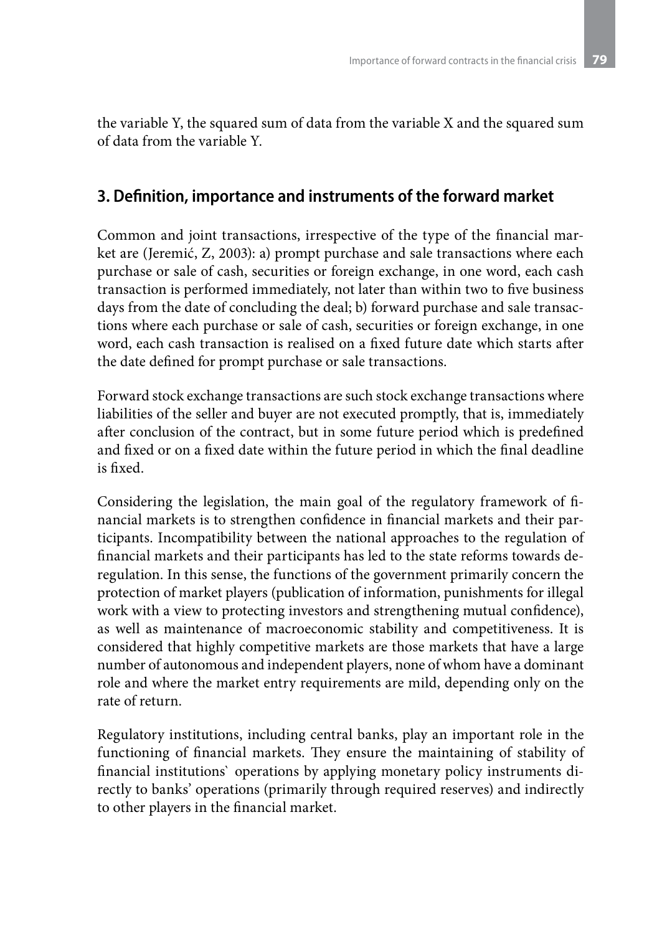the variable Y, the squared sum of data from the variable X and the squared sum of data from the variable Y.

# **3. Definition, importance and instruments of the forward market**

Common and joint transactions, irrespective of the type of the financial market are (Jeremić, Z, 2003): a) prompt purchase and sale transactions where each purchase or sale of cash, securities or foreign exchange, in one word, each cash transaction is performed immediately, not later than within two to five business days from the date of concluding the deal; b) forward purchase and sale transactions where each purchase or sale of cash, securities or foreign exchange, in one word, each cash transaction is realised on a fixed future date which starts after the date defined for prompt purchase or sale transactions.

Forward stock exchange transactions are such stock exchange transactions where liabilities of the seller and buyer are not executed promptly, that is, immediately after conclusion of the contract, but in some future period which is predefined and fixed or on a fixed date within the future period in which the final deadline is fixed.

Considering the legislation, the main goal of the regulatory framework of financial markets is to strengthen confidence in financial markets and their participants. Incompatibility between the national approaches to the regulation of financial markets and their participants has led to the state reforms towards deregulation. In this sense, the functions of the government primarily concern the protection of market players (publication of information, punishments for illegal work with a view to protecting investors and strengthening mutual confidence), as well as maintenance of macroeconomic stability and competitiveness. It is considered that highly competitive markets are those markets that have a large number of autonomous and independent players, none of whom have a dominant role and where the market entry requirements are mild, depending only on the rate of return.

Regulatory institutions, including central banks, play an important role in the functioning of financial markets. They ensure the maintaining of stability of financial institutions` operations by applying monetary policy instruments directly to banks' operations (primarily through required reserves) and indirectly to other players in the financial market.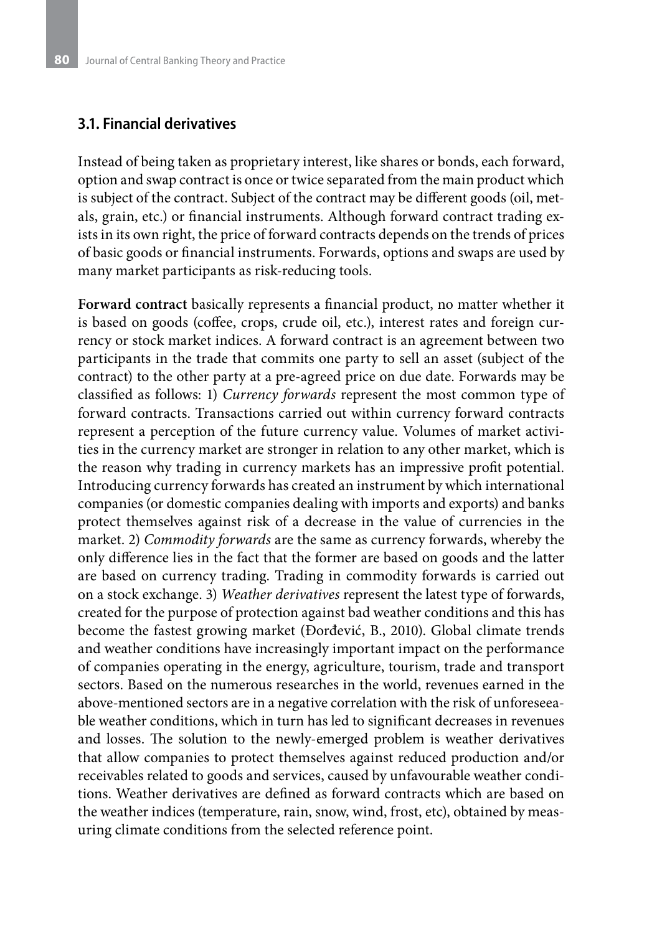#### **3.1. Financial derivatives**

Instead of being taken as proprietary interest, like shares or bonds, each forward, option and swap contract is once or twice separated from the main product which is subject of the contract. Subject of the contract may be different goods (oil, metals, grain, etc.) or financial instruments. Although forward contract trading exists in its own right, the price of forward contracts depends on the trends of prices of basic goods or financial instruments. Forwards, options and swaps are used by many market participants as risk-reducing tools.

**Forward contract** basically represents a financial product, no matter whether it is based on goods (coffee, crops, crude oil, etc.), interest rates and foreign currency or stock market indices. A forward contract is an agreement between two participants in the trade that commits one party to sell an asset (subject of the contract) to the other party at a pre-agreed price on due date. Forwards may be classified as follows: 1) *Currency forwards* represent the most common type of forward contracts. Transactions carried out within currency forward contracts represent a perception of the future currency value. Volumes of market activities in the currency market are stronger in relation to any other market, which is the reason why trading in currency markets has an impressive profit potential. Introducing currency forwards has created an instrument by which international companies (or domestic companies dealing with imports and exports) and banks protect themselves against risk of a decrease in the value of currencies in the market. 2) *Commodity forwards* are the same as currency forwards, whereby the only difference lies in the fact that the former are based on goods and the latter are based on currency trading. Trading in commodity forwards is carried out on a stock exchange. 3) *Weather derivatives* represent the latest type of forwards, created for the purpose of protection against bad weather conditions and this has become the fastest growing market (Đorđević, B., 2010). Global climate trends and weather conditions have increasingly important impact on the performance of companies operating in the energy, agriculture, tourism, trade and transport sectors. Based on the numerous researches in the world, revenues earned in the above-mentioned sectors are in a negative correlation with the risk of unforeseeable weather conditions, which in turn has led to significant decreases in revenues and losses. The solution to the newly-emerged problem is weather derivatives that allow companies to protect themselves against reduced production and/or receivables related to goods and services, caused by unfavourable weather conditions. Weather derivatives are defined as forward contracts which are based on the weather indices (temperature, rain, snow, wind, frost, etc), obtained by measuring climate conditions from the selected reference point.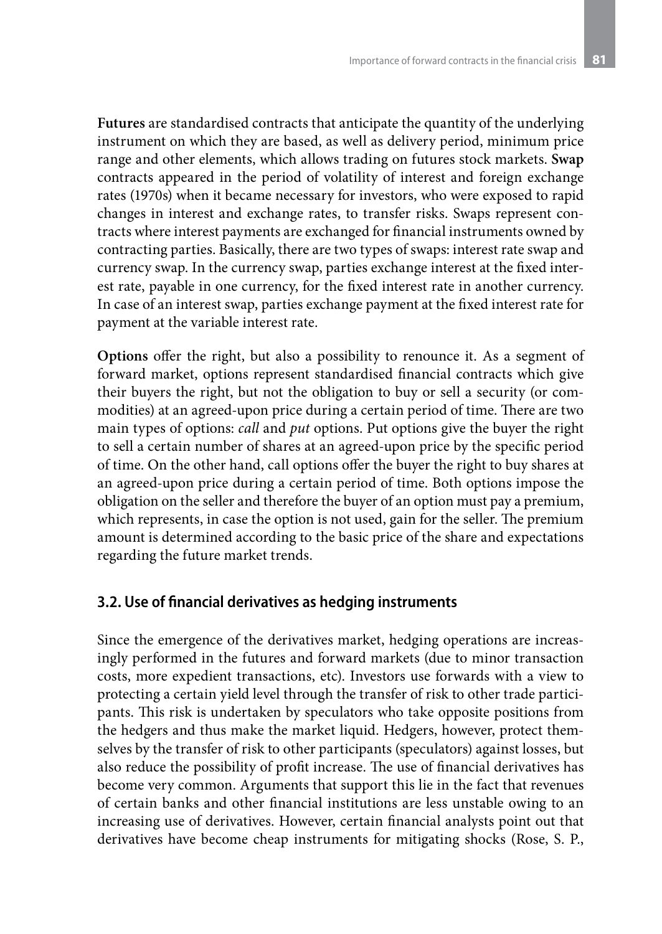**Futures** are standardised contracts that anticipate the quantity of the underlying instrument on which they are based, as well as delivery period, minimum price range and other elements, which allows trading on futures stock markets. **Swap** contracts appeared in the period of volatility of interest and foreign exchange rates (1970s) when it became necessary for investors, who were exposed to rapid changes in interest and exchange rates, to transfer risks. Swaps represent contracts where interest payments are exchanged for financial instruments owned by contracting parties. Basically, there are two types of swaps: interest rate swap and currency swap. In the currency swap, parties exchange interest at the fixed interest rate, payable in one currency, for the fixed interest rate in another currency. In case of an interest swap, parties exchange payment at the fixed interest rate for payment at the variable interest rate.

**Options** offer the right, but also a possibility to renounce it. As a segment of forward market, options represent standardised financial contracts which give their buyers the right, but not the obligation to buy or sell a security (or commodities) at an agreed-upon price during a certain period of time. There are two main types of options: *call* and *put* options. Put options give the buyer the right to sell a certain number of shares at an agreed-upon price by the specific period of time. On the other hand, call options offer the buyer the right to buy shares at an agreed-upon price during a certain period of time. Both options impose the obligation on the seller and therefore the buyer of an option must pay a premium, which represents, in case the option is not used, gain for the seller. The premium amount is determined according to the basic price of the share and expectations regarding the future market trends.

### **3.2. Use of financial derivatives as hedging instruments**

Since the emergence of the derivatives market, hedging operations are increasingly performed in the futures and forward markets (due to minor transaction costs, more expedient transactions, etc). Investors use forwards with a view to protecting a certain yield level through the transfer of risk to other trade participants. This risk is undertaken by speculators who take opposite positions from the hedgers and thus make the market liquid. Hedgers, however, protect themselves by the transfer of risk to other participants (speculators) against losses, but also reduce the possibility of profit increase. The use of financial derivatives has become very common. Arguments that support this lie in the fact that revenues of certain banks and other financial institutions are less unstable owing to an increasing use of derivatives. However, certain financial analysts point out that derivatives have become cheap instruments for mitigating shocks (Rose, S. P.,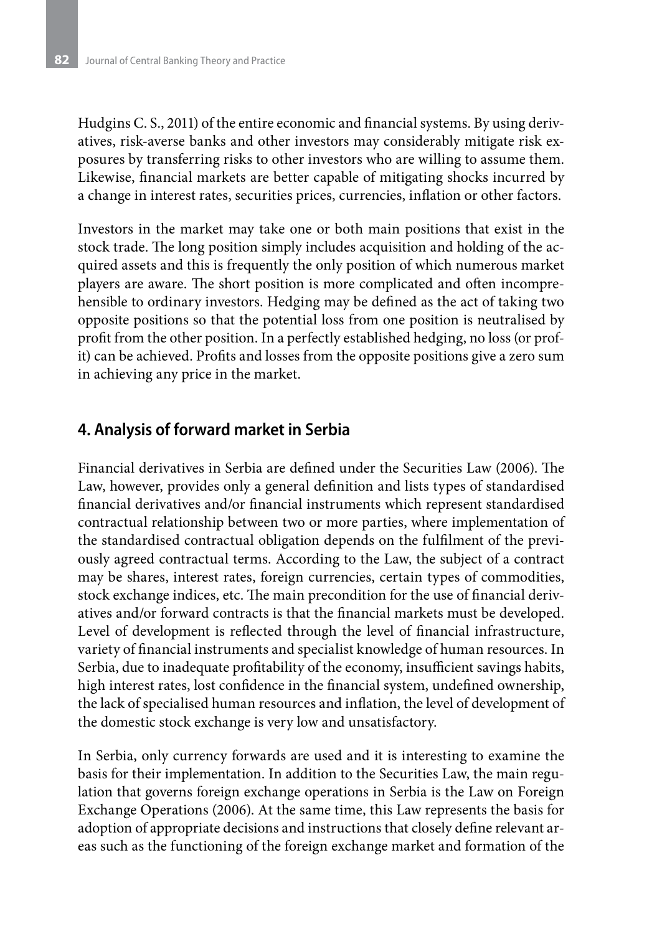Hudgins C. S., 2011) of the entire economic and financial systems. By using derivatives, risk-averse banks and other investors may considerably mitigate risk exposures by transferring risks to other investors who are willing to assume them. Likewise, financial markets are better capable of mitigating shocks incurred by a change in interest rates, securities prices, currencies, inflation or other factors.

Investors in the market may take one or both main positions that exist in the stock trade. The long position simply includes acquisition and holding of the acquired assets and this is frequently the only position of which numerous market players are aware. The short position is more complicated and often incomprehensible to ordinary investors. Hedging may be defined as the act of taking two opposite positions so that the potential loss from one position is neutralised by profit from the other position. In a perfectly established hedging, no loss (or profit) can be achieved. Profits and losses from the opposite positions give a zero sum in achieving any price in the market.

### **4. Analysis of forward market in Serbia**

Financial derivatives in Serbia are defined under the Securities Law (2006). The Law, however, provides only a general definition and lists types of standardised financial derivatives and/or financial instruments which represent standardised contractual relationship between two or more parties, where implementation of the standardised contractual obligation depends on the fulfilment of the previously agreed contractual terms. According to the Law, the subject of a contract may be shares, interest rates, foreign currencies, certain types of commodities, stock exchange indices, etc. The main precondition for the use of financial derivatives and/or forward contracts is that the financial markets must be developed. Level of development is reflected through the level of financial infrastructure, variety of financial instruments and specialist knowledge of human resources. In Serbia, due to inadequate profitability of the economy, insufficient savings habits, high interest rates, lost confidence in the financial system, undefined ownership, the lack of specialised human resources and inflation, the level of development of the domestic stock exchange is very low and unsatisfactory.

In Serbia, only currency forwards are used and it is interesting to examine the basis for their implementation. In addition to the Securities Law, the main regulation that governs foreign exchange operations in Serbia is the Law on Foreign Exchange Operations (2006). At the same time, this Law represents the basis for adoption of appropriate decisions and instructions that closely define relevant areas such as the functioning of the foreign exchange market and formation of the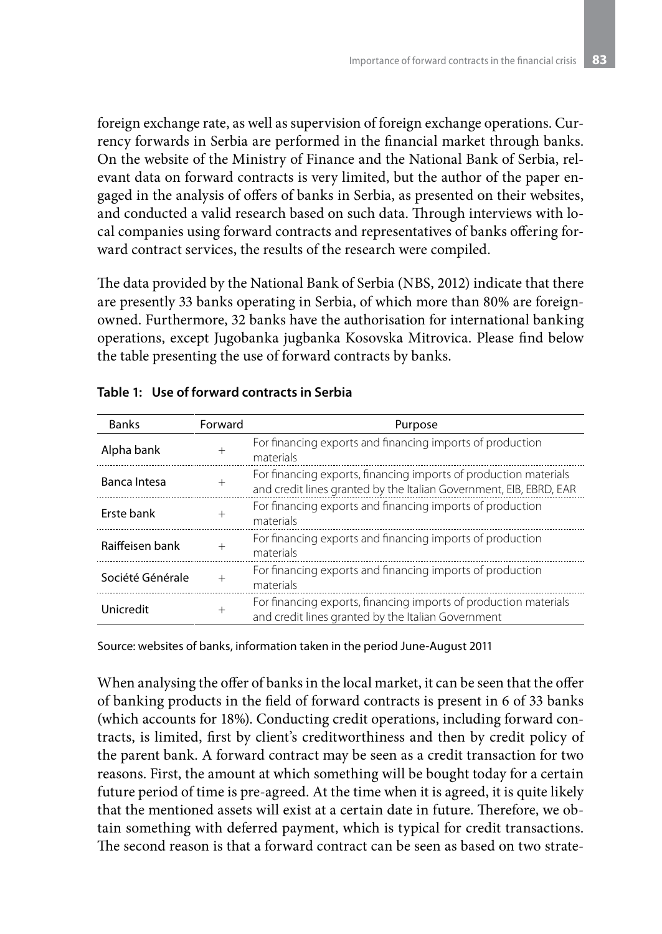foreign exchange rate, as well as supervision of foreign exchange operations. Currency forwards in Serbia are performed in the financial market through banks. On the website of the Ministry of Finance and the National Bank of Serbia, relevant data on forward contracts is very limited, but the author of the paper engaged in the analysis of offers of banks in Serbia, as presented on their websites, and conducted a valid research based on such data. Through interviews with local companies using forward contracts and representatives of banks offering forward contract services, the results of the research were compiled.

The data provided by the National Bank of Serbia (NBS, 2012) indicate that there are presently 33 banks operating in Serbia, of which more than 80% are foreignowned. Furthermore, 32 banks have the authorisation for international banking operations, except Jugobanka jugbanka Kosovska Mitrovica. Please find below the table presenting the use of forward contracts by banks.

| <b>Banks</b>                            | Forward | Purpose                                                                                                                                |  |  |
|-----------------------------------------|---------|----------------------------------------------------------------------------------------------------------------------------------------|--|--|
| Alpha bank                              | $+$     | For financing exports and financing imports of production<br>materials                                                                 |  |  |
| Banca Intesa<br>$^{+}$                  |         | For financing exports, financing imports of production materials<br>and credit lines granted by the Italian Government, EIB, EBRD, EAR |  |  |
| Erste bank                              | $^{+}$  | For financing exports and financing imports of production<br>materials                                                                 |  |  |
| Raiffeisen bank                         | $^{+}$  | For financing exports and financing imports of production<br>materials                                                                 |  |  |
| Société Générale<br>$^{+}$<br>materials |         | For financing exports and financing imports of production                                                                              |  |  |
| Unicredit                               | $^{+}$  | For financing exports, financing imports of production materials<br>and credit lines granted by the Italian Government                 |  |  |

#### **Table 1: Use of forward contracts in Serbia**

Source: websites of banks, information taken in the period June-August 2011

When analysing the offer of banks in the local market, it can be seen that the offer of banking products in the field of forward contracts is present in 6 of 33 banks (which accounts for 18%). Conducting credit operations, including forward contracts, is limited, first by client's creditworthiness and then by credit policy of the parent bank. A forward contract may be seen as a credit transaction for two reasons. First, the amount at which something will be bought today for a certain future period of time is pre-agreed. At the time when it is agreed, it is quite likely that the mentioned assets will exist at a certain date in future. Therefore, we obtain something with deferred payment, which is typical for credit transactions. The second reason is that a forward contract can be seen as based on two strate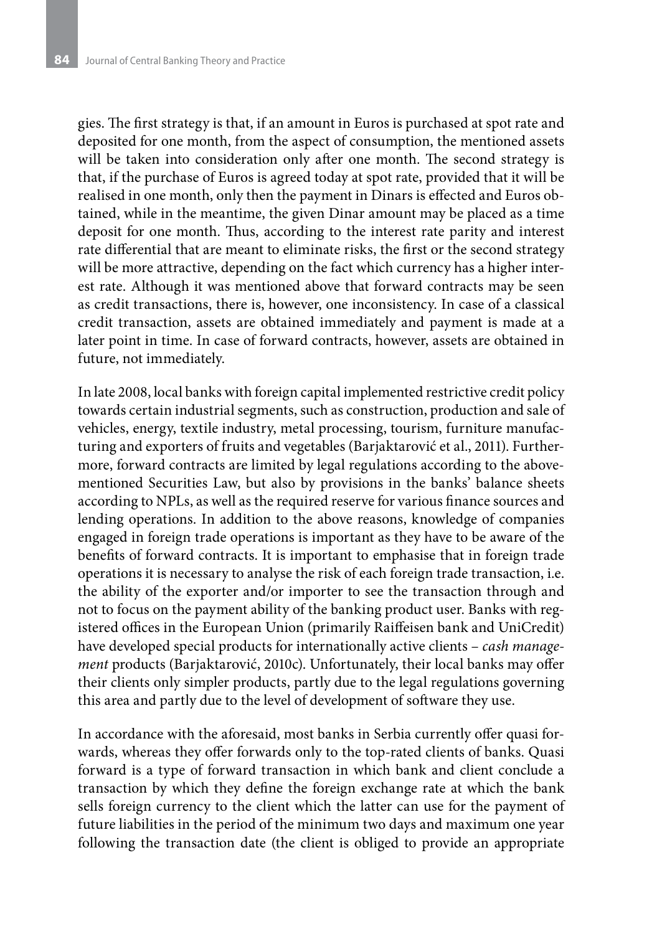gies. The first strategy is that, if an amount in Euros is purchased at spot rate and deposited for one month, from the aspect of consumption, the mentioned assets will be taken into consideration only after one month. The second strategy is that, if the purchase of Euros is agreed today at spot rate, provided that it will be realised in one month, only then the payment in Dinars is effected and Euros obtained, while in the meantime, the given Dinar amount may be placed as a time deposit for one month. Thus, according to the interest rate parity and interest rate differential that are meant to eliminate risks, the first or the second strategy will be more attractive, depending on the fact which currency has a higher interest rate. Although it was mentioned above that forward contracts may be seen as credit transactions, there is, however, one inconsistency. In case of a classical credit transaction, assets are obtained immediately and payment is made at a later point in time. In case of forward contracts, however, assets are obtained in future, not immediately.

In late 2008, local banks with foreign capital implemented restrictive credit policy towards certain industrial segments, such as construction, production and sale of vehicles, energy, textile industry, metal processing, tourism, furniture manufacturing and exporters of fruits and vegetables (Barjaktarović et al., 2011). Furthermore, forward contracts are limited by legal regulations according to the abovementioned Securities Law, but also by provisions in the banks' balance sheets according to NPLs, as well as the required reserve for various finance sources and lending operations. In addition to the above reasons, knowledge of companies engaged in foreign trade operations is important as they have to be aware of the benefits of forward contracts. It is important to emphasise that in foreign trade operations it is necessary to analyse the risk of each foreign trade transaction, i.e. the ability of the exporter and/or importer to see the transaction through and not to focus on the payment ability of the banking product user. Banks with registered offices in the European Union (primarily Raiffeisen bank and UniCredit) have developed special products for internationally active clients – *cash management* products (Barjaktarović, 2010c). Unfortunately, their local banks may offer their clients only simpler products, partly due to the legal regulations governing this area and partly due to the level of development of software they use.

In accordance with the aforesaid, most banks in Serbia currently offer quasi forwards, whereas they offer forwards only to the top-rated clients of banks. Quasi forward is a type of forward transaction in which bank and client conclude a transaction by which they define the foreign exchange rate at which the bank sells foreign currency to the client which the latter can use for the payment of future liabilities in the period of the minimum two days and maximum one year following the transaction date (the client is obliged to provide an appropriate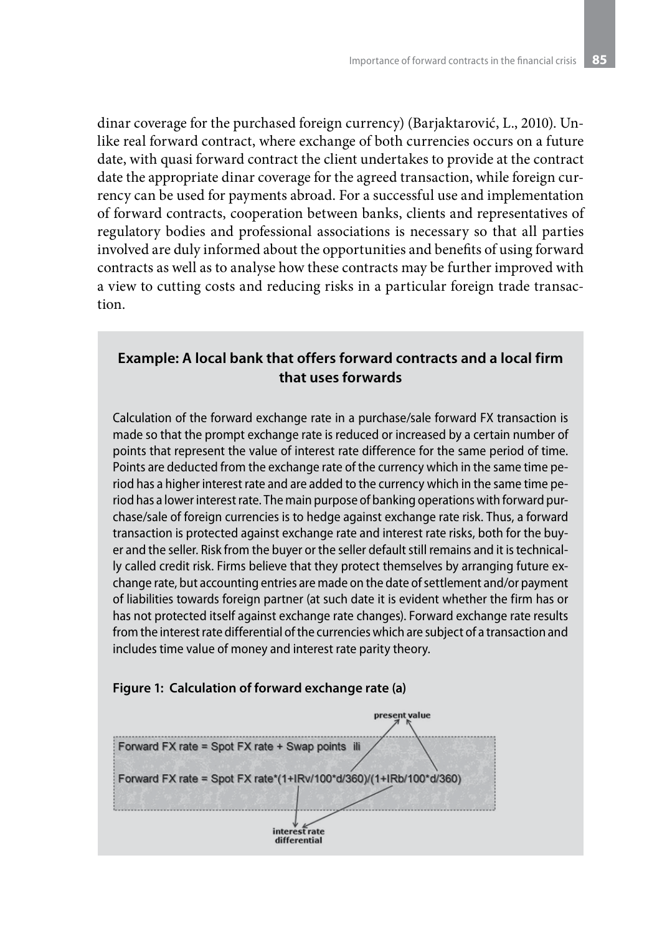dinar coverage for the purchased foreign currency) (Barjaktarović, L., 2010). Unlike real forward contract, where exchange of both currencies occurs on a future date, with quasi forward contract the client undertakes to provide at the contract date the appropriate dinar coverage for the agreed transaction, while foreign currency can be used for payments abroad. For a successful use and implementation of forward contracts, cooperation between banks, clients and representatives of regulatory bodies and professional associations is necessary so that all parties involved are duly informed about the opportunities and benefits of using forward contracts as well as to analyse how these contracts may be further improved with a view to cutting costs and reducing risks in a particular foreign trade transaction.

### **Example: A local bank that offers forward contracts and a local firm that uses forwards**

Calculation of the forward exchange rate in a purchase/sale forward FX transaction is made so that the prompt exchange rate is reduced or increased by a certain number of points that represent the value of interest rate difference for the same period of time. Points are deducted from the exchange rate of the currency which in the same time period has a higher interest rate and are added to the currency which in the same time period has a lower interest rate. The main purpose of banking operations with forward purchase/sale of foreign currencies is to hedge against exchange rate risk. Thus, a forward transaction is protected against exchange rate and interest rate risks, both for the buyer and the seller. Risk from the buyer or the seller default still remains and it is technically called credit risk. Firms believe that they protect themselves by arranging future exchange rate, but accounting entries are made on the date of settlement and/or payment of liabilities towards foreign partner (at such date it is evident whether the firm has or has not protected itself against exchange rate changes). Forward exchange rate results from the interest rate differential of the currencies which are subject of a transaction and includes time value of money and interest rate parity theory.

#### **Figure 1: Calculation of forward exchange rate (a)**

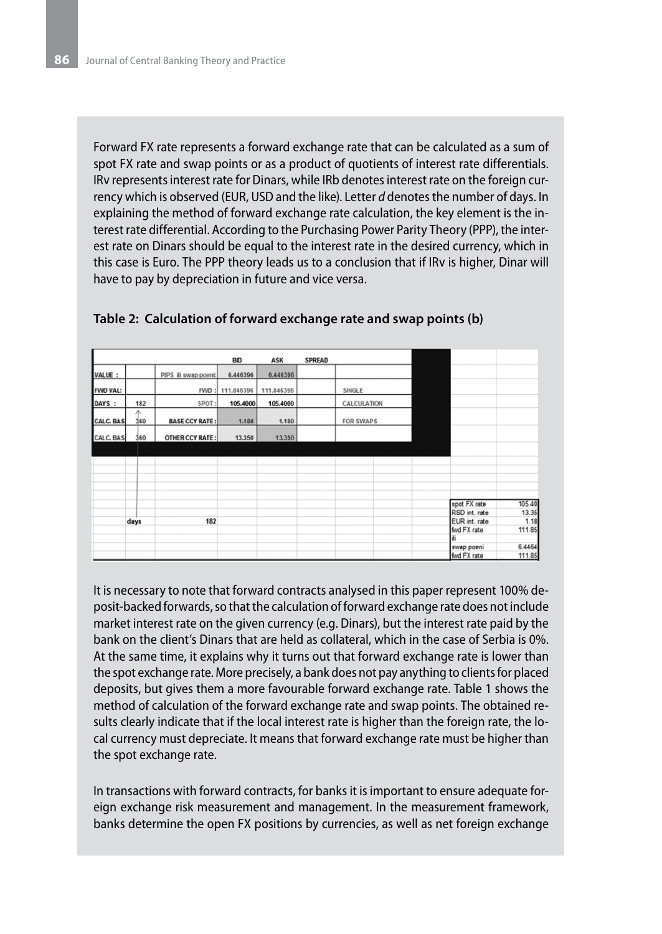Forward FX rate represents a forward exchange rate that can be calculated as a sum of spot FX rate and swap points or as a product of quotients of interest rate differentials. IRv represents interest rate for Dinars, while IRb denotes interest rate on the foreign currency which is observed (EUR, USD and the like). Letter *d* denotes the number of days. In explaining the method of forward exchange rate calculation, the key element is the interest rate differential. According to the Purchasing Power Parity Theory (PPP), the interest rate on Dinars should be equal to the interest rate in the desired currency, which in this case is Euro. The PPP theory leads us to a conclusion that if IRv is higher, Dinar will have to pay by depreciation in future and vice versa.

|                 |      |          |                       | <b>BID</b>      | ASK        | <b>SPREAD</b> |                  |               |        |
|-----------------|------|----------|-----------------------|-----------------|------------|---------------|------------------|---------------|--------|
| VALUE :         |      |          | PIPS ili swap poeni:  | 6.446396        | 6.446396   |               |                  |               |        |
| <b>FWD VAL:</b> |      |          |                       | FWD: 111.846396 | 111.846396 |               | SINGLE           |               |        |
| DAYS :          |      | 182      | SPOT:                 | 105.4000        | 105.4000   |               | CALCULATION      |               |        |
| CALC. BAS       |      | Λ<br>360 | <b>BASE CCY RATE:</b> | 1.180           | 1.180      |               | <b>FOR SWAPS</b> |               |        |
| CALC. BAS       |      | 360      | OTHER CCY RATE:       | 13.350          | 13.350     |               |                  |               |        |
|                 |      |          |                       |                 |            |               |                  |               |        |
|                 |      |          |                       |                 |            |               |                  |               |        |
|                 |      |          |                       |                 |            |               |                  |               |        |
|                 |      |          |                       |                 |            |               |                  |               |        |
|                 |      |          |                       |                 |            |               |                  | spot FX rate  | 105.40 |
|                 |      |          |                       |                 |            |               |                  | RSD int. rate | 13.36  |
|                 | days |          | 182                   |                 |            |               |                  | EUR int. rate | 1.18   |
|                 |      |          |                       |                 |            |               |                  | fwd FX rate   | 111.85 |
|                 |      |          |                       |                 |            |               |                  | ili           |        |
|                 |      |          |                       |                 |            |               |                  | swap poeni    | 6.4464 |
|                 |      |          |                       |                 |            |               |                  | fwd FX rate   | 111.85 |

#### **Table 2: Calculation of forward exchange rate and swap points (b)**

It is necessary to note that forward contracts analysed in this paper represent 100% deposit-backed forwards, so that the calculation of forward exchange rate does not include market interest rate on the given currency (e.g. Dinars), but the interest rate paid by the bank on the client's Dinars that are held as collateral, which in the case of Serbia is 0%. At the same time, it explains why it turns out that forward exchange rate is lower than the spot exchange rate. More precisely, a bank does not pay anything to clients for placed deposits, but gives them a more favourable forward exchange rate. Table 1 shows the method of calculation of the forward exchange rate and swap points. The obtained results clearly indicate that if the local interest rate is higher than the foreign rate, the local currency must depreciate. It means that forward exchange rate must be higher than the spot exchange rate.

In transactions with forward contracts, for banks it is important to ensure adequate foreign exchange risk measurement and management. In the measurement framework, banks determine the open FX positions by currencies, as well as net foreign exchange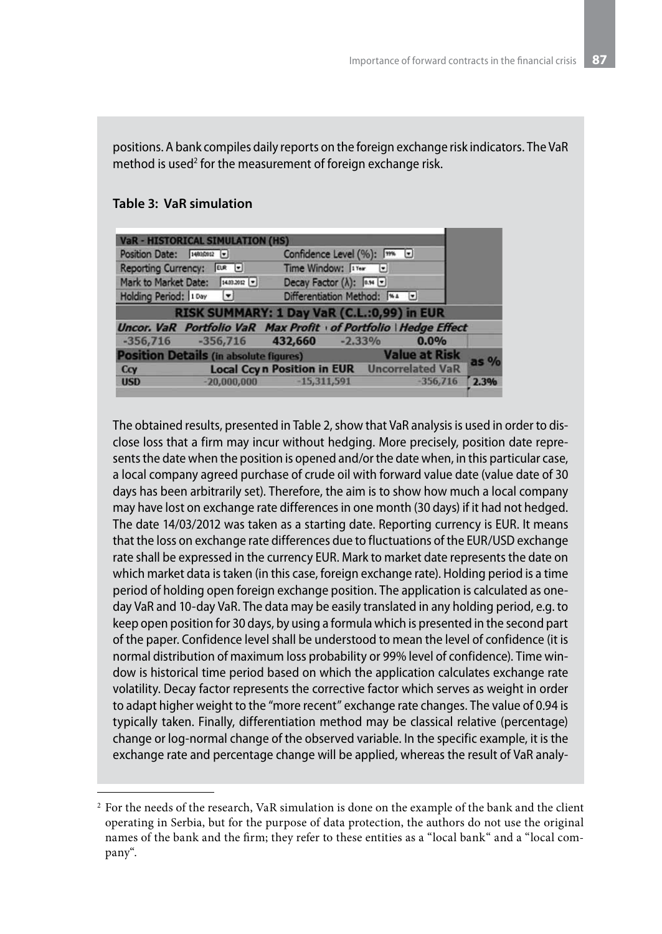positions. A bank compiles daily reports on the foreign exchange risk indicators. The VaR method is used $^2$  for the measurement of foreign exchange risk.

| <b>VaR - HISTORICAL SIMULATION (HS)</b>                                    |        |  |  |  |
|----------------------------------------------------------------------------|--------|--|--|--|
| Confidence Level (%): [m U<br>Position Date: 14830012 -                    |        |  |  |  |
| Time Window: 1Yer<br><b>Reporting Currency:</b><br>$EUR$ $\Box$            |        |  |  |  |
| Mark to Market Date: [14.03.2012 [*]<br>Decay Factor $(\lambda)$ : [0.94 ] |        |  |  |  |
| Differentiation Method: [%4 [w]<br>Holding Period: 10ay<br>$\sqrt{2}$      |        |  |  |  |
| RISK SUMMARY: 1 Day VaR (C.L.:0,99) in EUR                                 |        |  |  |  |
| Uncor. VaR Portfolio VaR Max Profit of Portfolio   Hedge Effect            |        |  |  |  |
| $-356,716$ $-356,716$ $432,660$ $-2,33\%$<br>$0.0\%$                       |        |  |  |  |
| <b>Value at Risk</b><br><b>Position Details (in absolute figures)</b>      |        |  |  |  |
| <b>Local Ccyn Position in EUR</b> Uncorrelated VaR<br>Ccy                  | $as\%$ |  |  |  |
| $-356,716$<br>$-20,000,000$<br>$-15,311,591$<br><b>USD</b>                 | 2.3%   |  |  |  |

#### **Table 3: VaR simulation**

The obtained results, presented in Table 2, show that VaR analysis is used in order to disclose loss that a firm may incur without hedging. More precisely, position date represents the date when the position is opened and/or the date when, in this particular case, a local company agreed purchase of crude oil with forward value date (value date of 30 days has been arbitrarily set). Therefore, the aim is to show how much a local company may have lost on exchange rate differences in one month (30 days) if it had not hedged. The date 14/03/2012 was taken as a starting date. Reporting currency is EUR. It means that the loss on exchange rate differences due to fluctuations of the EUR/USD exchange rate shall be expressed in the currency EUR. Mark to market date represents the date on which market data is taken (in this case, foreign exchange rate). Holding period is a time period of holding open foreign exchange position. The application is calculated as oneday VaR and 10-day VaR. The data may be easily translated in any holding period, e.g. to keep open position for 30 days, by using a formula which is presented in the second part of the paper. Confidence level shall be understood to mean the level of confidence (it is normal distribution of maximum loss probability or 99% level of confidence). Time window is historical time period based on which the application calculates exchange rate volatility. Decay factor represents the corrective factor which serves as weight in order to adapt higher weight to the "more recent" exchange rate changes. The value of 0.94 is typically taken. Finally, differentiation method may be classical relative (percentage) change or log-normal change of the observed variable. In the specific example, it is the exchange rate and percentage change will be applied, whereas the result of VaR analy-

<sup>2</sup> For the needs of the research, VaR simulation is done on the example of the bank and the client operating in Serbia, but for the purpose of data protection, the authors do not use the original names of the bank and the firm; they refer to these entities as a "local bank" and a "local company".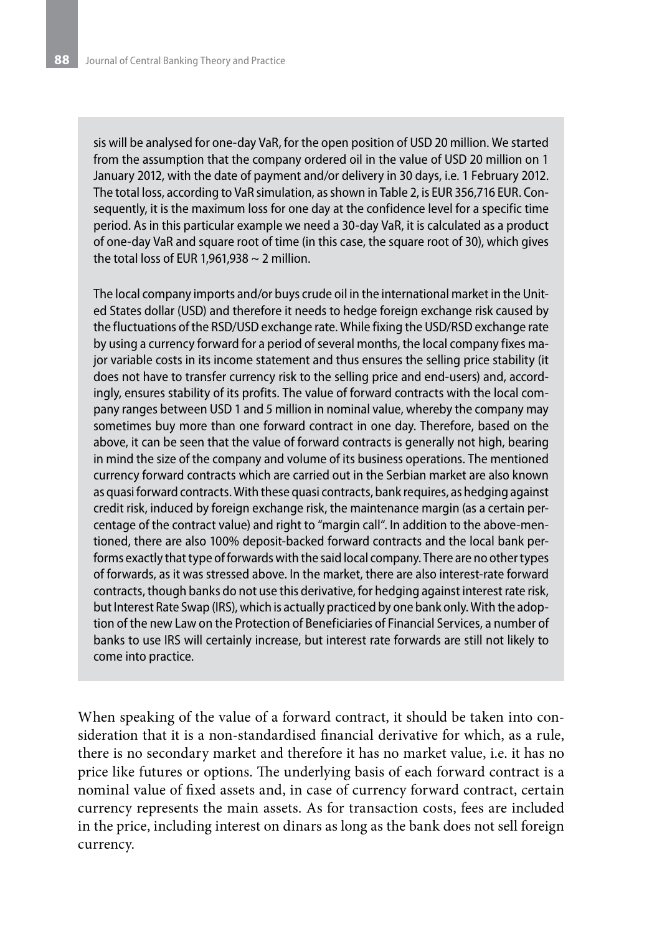sis will be analysed for one-day VaR, for the open position of USD 20 million. We started from the assumption that the company ordered oil in the value of USD 20 million on 1 January 2012, with the date of payment and/or delivery in 30 days, i.e. 1 February 2012. The total loss, according to VaR simulation, as shown in Table 2, is EUR 356,716 EUR. Consequently, it is the maximum loss for one day at the confidence level for a specific time period. As in this particular example we need a 30-day VaR, it is calculated as a product of one-day VaR and square root of time (in this case, the square root of 30), which gives the total loss of EUR 1,961,938  $\sim$  2 million.

The local company imports and/or buys crude oil in the international market in the United States dollar (USD) and therefore it needs to hedge foreign exchange risk caused by the fluctuations of the RSD/USD exchange rate. While fixing the USD/RSD exchange rate by using a currency forward for a period of several months, the local company fixes major variable costs in its income statement and thus ensures the selling price stability (it does not have to transfer currency risk to the selling price and end-users) and, accordingly, ensures stability of its profits. The value of forward contracts with the local company ranges between USD 1 and 5 million in nominal value, whereby the company may sometimes buy more than one forward contract in one day. Therefore, based on the above, it can be seen that the value of forward contracts is generally not high, bearing in mind the size of the company and volume of its business operations. The mentioned currency forward contracts which are carried out in the Serbian market are also known as quasi forward contracts. With these quasi contracts, bank requires, as hedging against credit risk, induced by foreign exchange risk, the maintenance margin (as a certain percentage of the contract value) and right to "margin call". In addition to the above-mentioned, there are also 100% deposit-backed forward contracts and the local bank performs exactly that type of forwards with the said local company. There are no other types of forwards, as it was stressed above. In the market, there are also interest-rate forward contracts, though banks do not use this derivative, for hedging against interest rate risk, but Interest Rate Swap (IRS), which is actually practiced by one bank only. With the adoption of the new Law on the Protection of Beneficiaries of Financial Services, a number of banks to use IRS will certainly increase, but interest rate forwards are still not likely to come into practice.

When speaking of the value of a forward contract, it should be taken into consideration that it is a non-standardised financial derivative for which, as a rule, there is no secondary market and therefore it has no market value, i.e. it has no price like futures or options. The underlying basis of each forward contract is a nominal value of fixed assets and, in case of currency forward contract, certain currency represents the main assets. As for transaction costs, fees are included in the price, including interest on dinars as long as the bank does not sell foreign currency.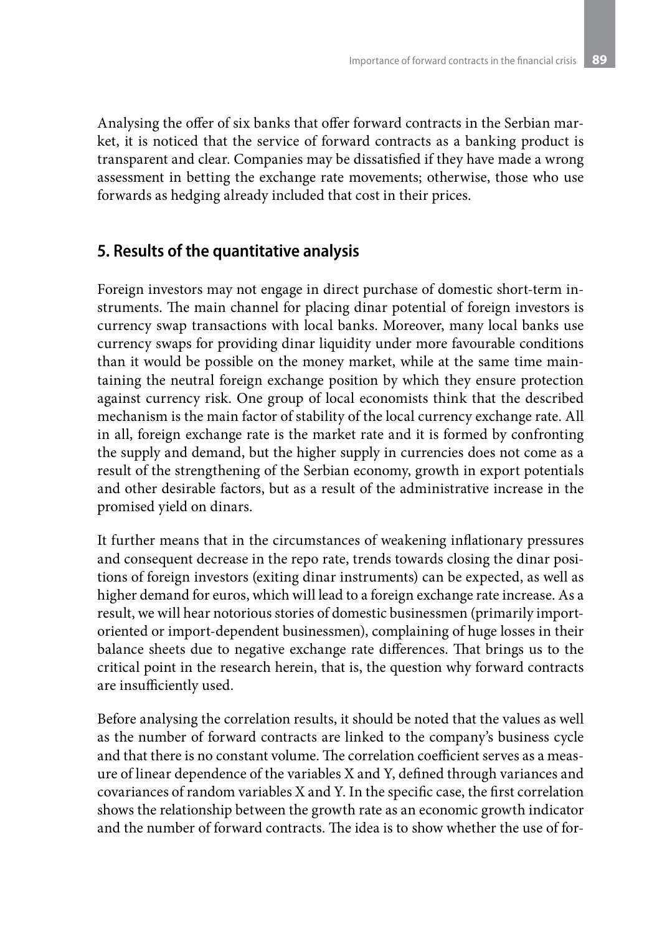Analysing the offer of six banks that offer forward contracts in the Serbian market, it is noticed that the service of forward contracts as a banking product is transparent and clear. Companies may be dissatisfied if they have made a wrong assessment in betting the exchange rate movements; otherwise, those who use forwards as hedging already included that cost in their prices.

## **5. Results of the quantitative analysis**

Foreign investors may not engage in direct purchase of domestic short-term instruments. The main channel for placing dinar potential of foreign investors is currency swap transactions with local banks. Moreover, many local banks use currency swaps for providing dinar liquidity under more favourable conditions than it would be possible on the money market, while at the same time maintaining the neutral foreign exchange position by which they ensure protection against currency risk. One group of local economists think that the described mechanism is the main factor of stability of the local currency exchange rate. All in all, foreign exchange rate is the market rate and it is formed by confronting the supply and demand, but the higher supply in currencies does not come as a result of the strengthening of the Serbian economy, growth in export potentials and other desirable factors, but as a result of the administrative increase in the promised yield on dinars.

It further means that in the circumstances of weakening inflationary pressures and consequent decrease in the repo rate, trends towards closing the dinar positions of foreign investors (exiting dinar instruments) can be expected, as well as higher demand for euros, which will lead to a foreign exchange rate increase. As a result, we will hear notorious stories of domestic businessmen (primarily importoriented or import-dependent businessmen), complaining of huge losses in their balance sheets due to negative exchange rate differences. That brings us to the critical point in the research herein, that is, the question why forward contracts are insufficiently used.

Before analysing the correlation results, it should be noted that the values as well as the number of forward contracts are linked to the company's business cycle and that there is no constant volume. The correlation coefficient serves as a measure of linear dependence of the variables X and Y, defined through variances and covariances of random variables X and Y. In the specific case, the first correlation shows the relationship between the growth rate as an economic growth indicator and the number of forward contracts. The idea is to show whether the use of for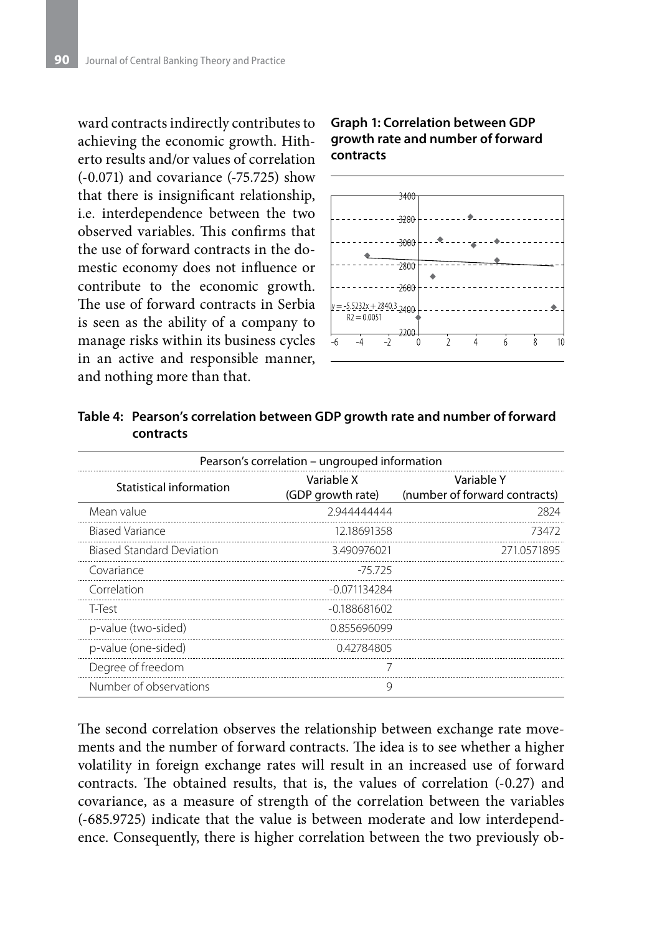ward contracts indirectly contributes to achieving the economic growth. Hitherto results and/or values of correlation (-0.071) and covariance (-75.725) show that there is insignificant relationship, i.e. interdependence between the two observed variables. This confirms that the use of forward contracts in the domestic economy does not influence or contribute to the economic growth. The use of forward contracts in Serbia is seen as the ability of a company to manage risks within its business cycles in an active and responsible manner, and nothing more than that.

#### **Graph 1: Correlation between GDP growth rate and number of forward contracts**



| Pearson's correlation – ungrouped information |                                 |                                             |  |  |
|-----------------------------------------------|---------------------------------|---------------------------------------------|--|--|
| Statistical information                       | Variable X<br>(GDP growth rate) | Variable Y<br>(number of forward contracts) |  |  |
| Mean value                                    | 2944444444                      | 2824                                        |  |  |
| <b>Biased Variance</b>                        | 12.18691358                     | 73472                                       |  |  |
| <b>Biased Standard Deviation</b>              | 3.490976021                     | 2710571895                                  |  |  |
| Covariance                                    | -75.725                         |                                             |  |  |
| Correlation                                   | $-0.071134284$                  |                                             |  |  |
| T-Test                                        | $-0.188681602$                  |                                             |  |  |
| p-value (two-sided)                           | 0.855696099                     |                                             |  |  |
| p-value (one-sided)                           | 0.42784805                      |                                             |  |  |
| Degree of freedom                             | 7                               |                                             |  |  |
| Number of observations                        | 9                               |                                             |  |  |

**Table 4: Pearson's correlation between GDP growth rate and number of forward contracts** 

The second correlation observes the relationship between exchange rate movements and the number of forward contracts. The idea is to see whether a higher volatility in foreign exchange rates will result in an increased use of forward contracts. The obtained results, that is, the values of correlation (-0.27) and covariance, as a measure of strength of the correlation between the variables (-685.9725) indicate that the value is between moderate and low interdependence. Consequently, there is higher correlation between the two previously ob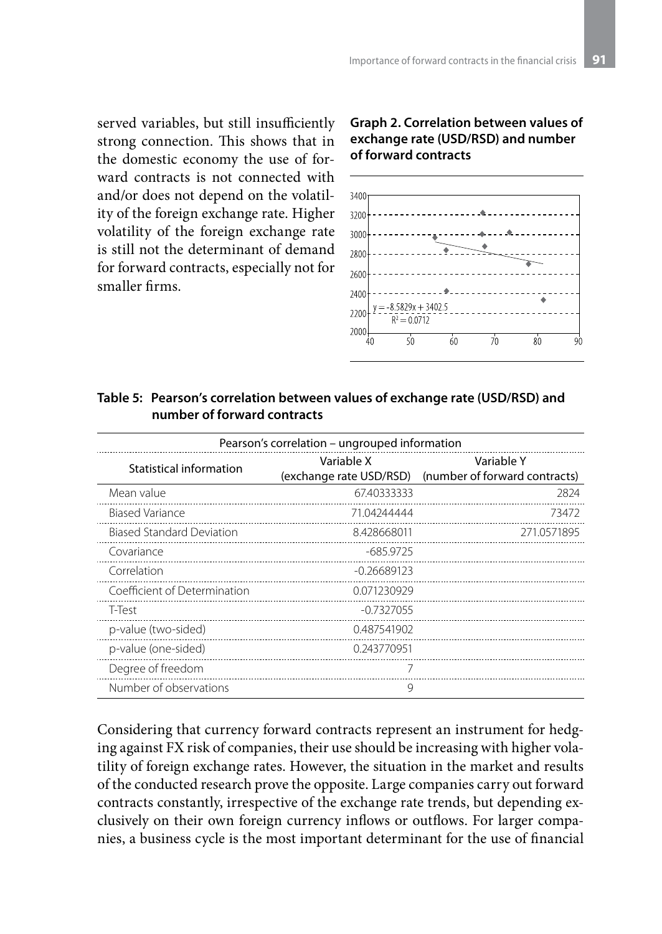served variables, but still insufficiently strong connection. This shows that in the domestic economy the use of forward contracts is not connected with and/or does not depend on the volatility of the foreign exchange rate. Higher volatility of the foreign exchange rate is still not the determinant of demand for forward contracts, especially not for smaller firms.

#### **Graph 2. Correlation between values of exchange rate (USD/RSD) and number of forward contracts**



#### **Table 5: Pearson's correlation between values of exchange rate (USD/RSD) and number of forward contracts**

| Pearson's correlation – ungrouped information |                                       |                                             |  |  |
|-----------------------------------------------|---------------------------------------|---------------------------------------------|--|--|
| Statistical information                       | Variable X<br>(exchange rate USD/RSD) | Variable Y<br>(number of forward contracts) |  |  |
| Mean value                                    | 67.40333333                           | 2824                                        |  |  |
| <b>Biased Variance</b>                        | 71.04244444                           | 73472                                       |  |  |
| <b>Biased Standard Deviation</b>              | 8.428668011                           | 271.0571895                                 |  |  |
| Covariance                                    | $-685.9725$                           |                                             |  |  |
| Correlation                                   | $-0.26689123$                         |                                             |  |  |
| Coefficient of Determination                  | 0071230929                            |                                             |  |  |
| T-Test                                        | $-0.7327055$                          |                                             |  |  |
| p-value (two-sided)                           | 0.487541902                           |                                             |  |  |
| p-value (one-sided)                           | 0.243770951                           |                                             |  |  |
| Degree of freedom                             |                                       |                                             |  |  |
| Number of observations                        | 9                                     |                                             |  |  |

Considering that currency forward contracts represent an instrument for hedging against FX risk of companies, their use should be increasing with higher volatility of foreign exchange rates. However, the situation in the market and results of the conducted research prove the opposite. Large companies carry out forward contracts constantly, irrespective of the exchange rate trends, but depending exclusively on their own foreign currency inflows or outflows. For larger companies, a business cycle is the most important determinant for the use of financial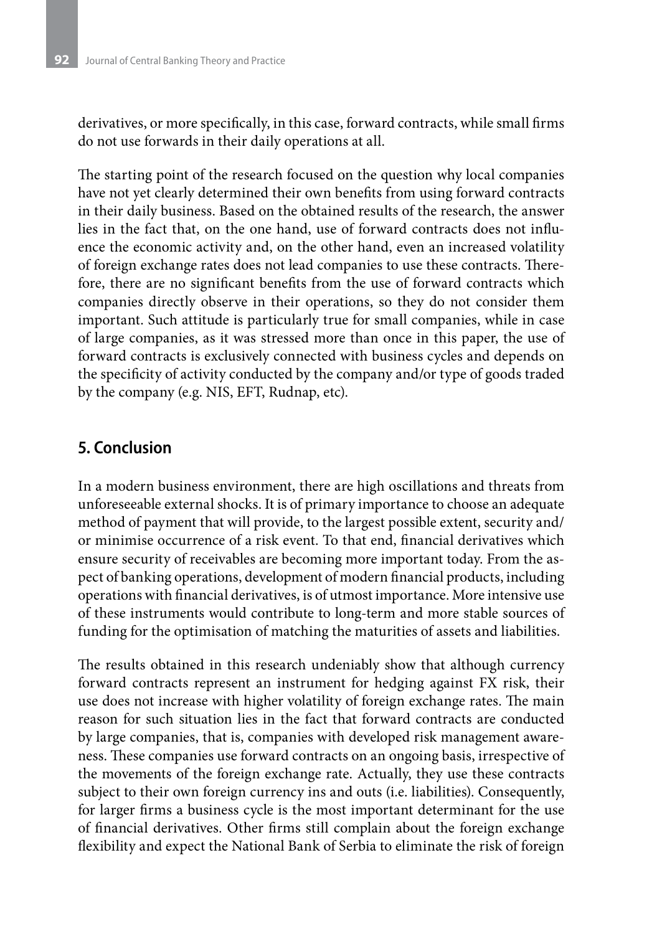derivatives, or more specifically, in this case, forward contracts, while small firms do not use forwards in their daily operations at all.

The starting point of the research focused on the question why local companies have not yet clearly determined their own benefits from using forward contracts in their daily business. Based on the obtained results of the research, the answer lies in the fact that, on the one hand, use of forward contracts does not influence the economic activity and, on the other hand, even an increased volatility of foreign exchange rates does not lead companies to use these contracts. Therefore, there are no significant benefits from the use of forward contracts which companies directly observe in their operations, so they do not consider them important. Such attitude is particularly true for small companies, while in case of large companies, as it was stressed more than once in this paper, the use of forward contracts is exclusively connected with business cycles and depends on the specificity of activity conducted by the company and/or type of goods traded by the company (e.g. NIS, EFT, Rudnap, etc).

# **5. Conclusion**

In a modern business environment, there are high oscillations and threats from unforeseeable external shocks. It is of primary importance to choose an adequate method of payment that will provide, to the largest possible extent, security and/ or minimise occurrence of a risk event. To that end, financial derivatives which ensure security of receivables are becoming more important today. From the aspect of banking operations, development of modern financial products, including operations with financial derivatives, is of utmost importance. More intensive use of these instruments would contribute to long-term and more stable sources of funding for the optimisation of matching the maturities of assets and liabilities.

The results obtained in this research undeniably show that although currency forward contracts represent an instrument for hedging against FX risk, their use does not increase with higher volatility of foreign exchange rates. The main reason for such situation lies in the fact that forward contracts are conducted by large companies, that is, companies with developed risk management awareness. These companies use forward contracts on an ongoing basis, irrespective of the movements of the foreign exchange rate. Actually, they use these contracts subject to their own foreign currency ins and outs (i.e. liabilities). Consequently, for larger firms a business cycle is the most important determinant for the use of financial derivatives. Other firms still complain about the foreign exchange flexibility and expect the National Bank of Serbia to eliminate the risk of foreign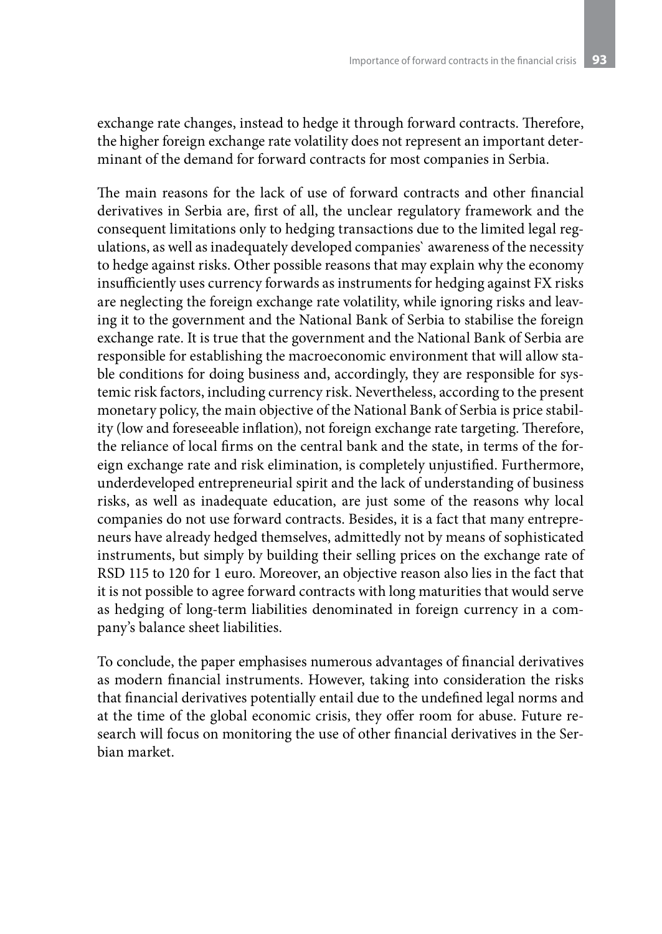exchange rate changes, instead to hedge it through forward contracts. Therefore, the higher foreign exchange rate volatility does not represent an important determinant of the demand for forward contracts for most companies in Serbia.

The main reasons for the lack of use of forward contracts and other financial derivatives in Serbia are, first of all, the unclear regulatory framework and the consequent limitations only to hedging transactions due to the limited legal regulations, as well as inadequately developed companies` awareness of the necessity to hedge against risks. Other possible reasons that may explain why the economy insufficiently uses currency forwards as instruments for hedging against FX risks are neglecting the foreign exchange rate volatility, while ignoring risks and leaving it to the government and the National Bank of Serbia to stabilise the foreign exchange rate. It is true that the government and the National Bank of Serbia are responsible for establishing the macroeconomic environment that will allow stable conditions for doing business and, accordingly, they are responsible for systemic risk factors, including currency risk. Nevertheless, according to the present monetary policy, the main objective of the National Bank of Serbia is price stability (low and foreseeable inflation), not foreign exchange rate targeting. Therefore, the reliance of local firms on the central bank and the state, in terms of the foreign exchange rate and risk elimination, is completely unjustified. Furthermore, underdeveloped entrepreneurial spirit and the lack of understanding of business risks, as well as inadequate education, are just some of the reasons why local companies do not use forward contracts. Besides, it is a fact that many entrepreneurs have already hedged themselves, admittedly not by means of sophisticated instruments, but simply by building their selling prices on the exchange rate of RSD 115 to 120 for 1 euro. Moreover, an objective reason also lies in the fact that it is not possible to agree forward contracts with long maturities that would serve as hedging of long-term liabilities denominated in foreign currency in a company's balance sheet liabilities.

To conclude, the paper emphasises numerous advantages of financial derivatives as modern financial instruments. However, taking into consideration the risks that financial derivatives potentially entail due to the undefined legal norms and at the time of the global economic crisis, they offer room for abuse. Future research will focus on monitoring the use of other financial derivatives in the Serbian market.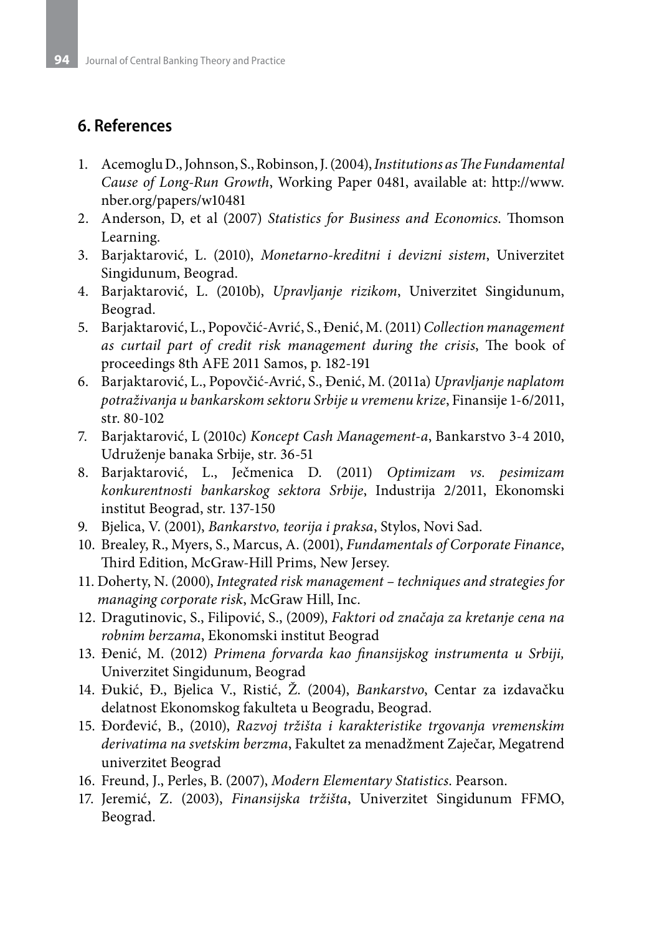### **6. References**

- 1. Acemoglu D., Johnson, S., Robinson, J. (2004), *Institutions as The Fundamental Cause of Long-Run Growth*, Working Paper 0481, available at: http://www. nber.org/papers/w10481
- 2. Anderson, D, et al (2007) *Statistics for Business and Economics*. Thomson Learning.
- 3. Barjaktarović, L. (2010), *Monetarno-kreditni i devizni sistem*, Univerzitet Singidunum, Beograd.
- 4. Barjaktarović, L. (2010b), *Upravljanje rizikom*, Univerzitet Singidunum, Beograd.
- 5. Barjaktarović, L., Popovčić-Avrić, S., Đenić, M. (2011) *Collection management as curtail part of credit risk management during the crisis*, The book of proceedings 8th AFE 2011 Samos, p. 182-191
- 6. Barjaktarović, L., Popovčić-Avrić, S., Đenić, M. (2011a) *Upravljanje naplatom potraživanja u bankarskom sektoru Srbije u vremenu krize*, Finansije 1-6/2011, str. 80-102
- 7. Barjaktarović, L (2010c) *Koncept Cash Management-a*, Bankarstvo 3-4 2010, Udruženje banaka Srbije, str. 36-51
- 8. Barjaktarović, L., Ječmenica D. (2011) *Optimizam vs. pesimizam konkurentnosti bankarskog sektora Srbije*, Industrija 2/2011, Ekonomski institut Beograd, str. 137-150
- 9. Bjelica, V. (2001), *Bankarstvo, teorija i praksa*, Stylos, Novi Sad.
- 10. Brealey, R., Myers, S., Marcus, A. (2001), *Fundamentals of Corporate Finance*, Third Edition, McGraw-Hill Prims, New Jersey.
- 11. Doherty, N. (2000), *Integrated risk management techniques and strategies for managing corporate risk*, McGraw Hill, Inc.
- 12. Dragutinovic, S., Filipović, S., (2009), *Faktori od značaja za kretanje cena na robnim berzama*, Ekonomski institut Beograd
- 13. Đenić, M. (2012) *Primena forvarda kao finansijskog instrumenta u Srbiji,*  Univerzitet Singidunum, Beograd
- 14. Đukić, Đ., Bjelica V., Ristić, Ž. (2004), *Bankarstvo*, Centar za izdavačku delatnost Ekonomskog fakulteta u Beogradu, Beograd.
- 15. Đorđević, B., (2010), *Razvoj tržišta i karakteristike trgovanja vremenskim derivatima na svetskim berzma*, Fakultet za menadžment Zaječar, Megatrend univerzitet Beograd
- 16. Freund, J., Perles, B. (2007), *Modern Elementary Statistics*. Pearson.
- 17. Jeremić, Z. (2003), *Finansijska tržišta*, Univerzitet Singidunum FFMO, Beograd.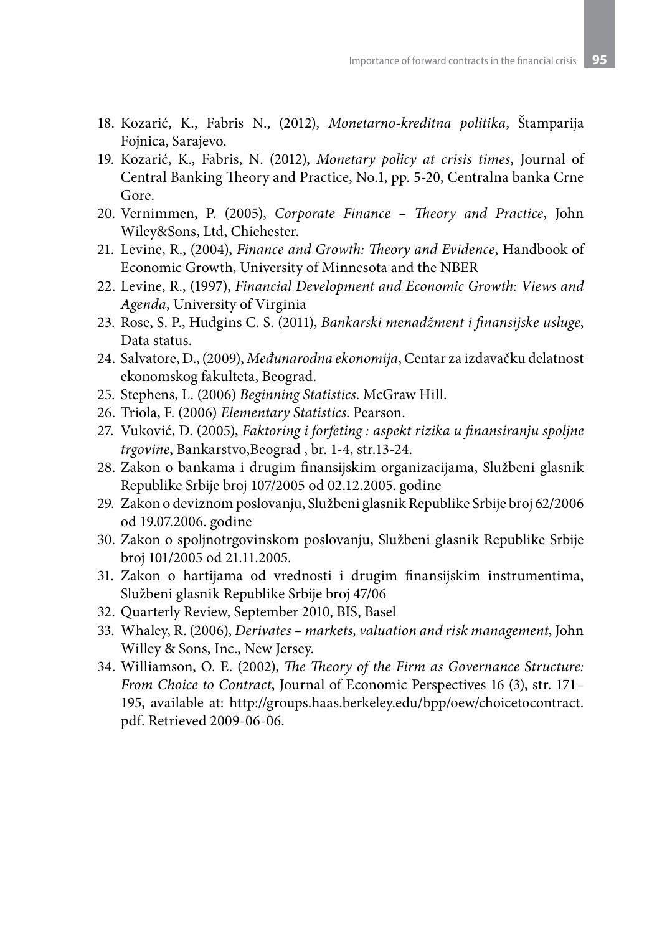- 18. Kozarić, K., Fabris N., (2012), *Monetarno-kreditna politika*, Štamparija Fojnica, Sarajevo.
- 19. Kozarić, K., Fabris, N. (2012), *Monetary policy at crisis times*, Journal of Central Banking Theory and Practice, No.1, pp. 5-20, Centralna banka Crne Gore.
- 20. Vernimmen, P. (2005), *Corporate Finance Theory and Practice*, John Wiley&Sons, Ltd, Chiehester.
- 21. Levine, R., (2004), *Finance and Growth: Theory and Evidence*, Handbook of Economic Growth, University of Minnesota and the NBER
- 22. Levine, R., (1997), *Financial Development and Economic Growth: Views and Agenda*, University of Virginia
- 23. Rose, S. P., Hudgins C. S. (2011), *Bankarski menadžment i finansijske usluge*, Data status.
- 24. Salvatore, D., (2009), *Međunarodna ekonomija*, Centar za izdavačku delatnost ekonomskog fakulteta, Beograd.
- 25. Stephens, L. (2006) *Beginning Statistics*. McGraw Hill.
- 26. Triola, F. (2006) *Elementary Statistics*. Pearson.
- 27. Vuković, D. (2005), *Faktoring i forfeting : aspekt rizika u finansiranju spoljne trgovine*, Bankarstvo,Beograd , br. 1-4, str.13-24.
- 28. Zakon o bankama i drugim finansijskim organizacijama, Službeni glasnik Republike Srbije broj 107/2005 od 02.12.2005. godine
- 29. Zakon o deviznom poslovanju, Službeni glasnik Republike Srbije broj 62/2006 od 19.07.2006. godine
- 30. Zakon o spoljnotrgovinskom poslovanju, Službeni glasnik Republike Srbije broj 101/2005 od 21.11.2005.
- 31. Zakon o hartijama od vrednosti i drugim finansijskim instrumentima, Službeni glasnik Republike Srbije broj 47/06
- 32. Quarterly Review, September 2010, BIS, Basel
- 33. Whaley, R. (2006), *Derivates markets, valuation and risk management*, John Willey & Sons, Inc., New Jersey.
- 34. Williamson, O. E. (2002), *The Theory of the Firm as Governance Structure: From Choice to Contract*, Journal of Economic Perspectives 16 (3), str. 171– 195, available at: http://groups.haas.berkeley.edu/bpp/oew/choicetocontract. pdf. Retrieved 2009-06-06.